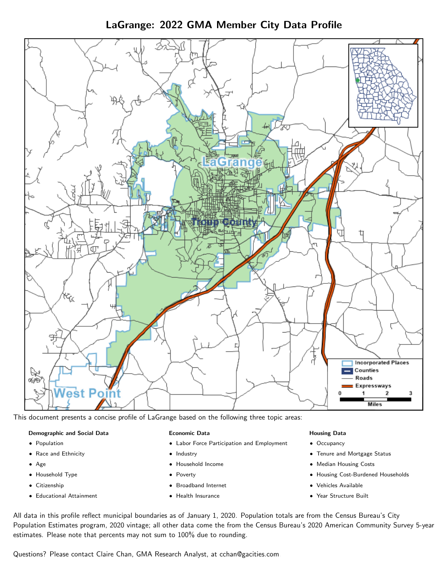LaGrange: 2022 GMA Member City Data Profile



This document presents a concise profile of LaGrange based on the following three topic areas:

#### Demographic and Social Data

- **•** Population
- Race and Ethnicity
- Age
- Household Type
- **Citizenship**
- Educational Attainment

#### Economic Data

- Labor Force Participation and Employment
- Industry
- Household Income
- Poverty
- Broadband Internet
- Health Insurance

#### Housing Data

- Occupancy
- Tenure and Mortgage Status
- Median Housing Costs
- Housing Cost-Burdened Households
- Vehicles Available
- $\bullet$ Year Structure Built

All data in this profile reflect municipal boundaries as of January 1, 2020. Population totals are from the Census Bureau's City Population Estimates program, 2020 vintage; all other data come the from the Census Bureau's 2020 American Community Survey 5-year estimates. Please note that percents may not sum to 100% due to rounding.

Questions? Please contact Claire Chan, GMA Research Analyst, at [cchan@gacities.com.](mailto:cchan@gacities.com)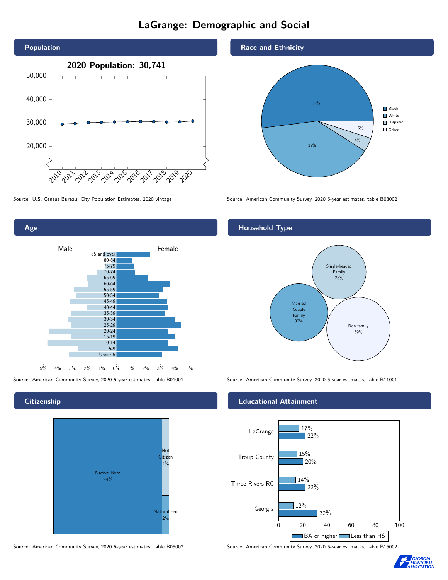# LaGrange: Demographic and Social





**Citizenship** 



Source: American Community Survey, 2020 5-year estimates, table B05002 Source: American Community Survey, 2020 5-year estimates, table B15002



Source: U.S. Census Bureau, City Population Estimates, 2020 vintage Source: American Community Survey, 2020 5-year estimates, table B03002

# Household Type



Source: American Community Survey, 2020 5-year estimates, table B01001 Source: American Community Survey, 2020 5-year estimates, table B11001

#### Educational Attainment



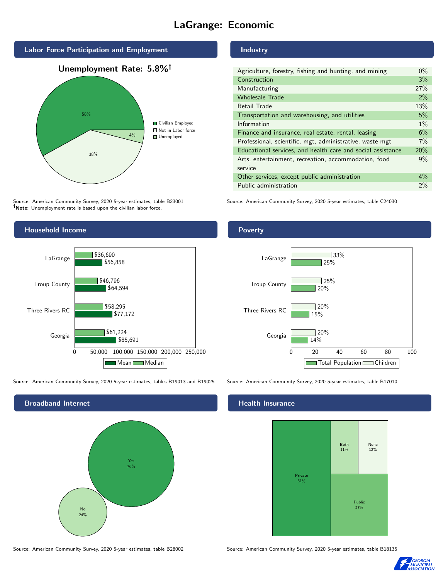# LaGrange: Economic



4%

# **Industry**

| $0\%$ |
|-------|
| 3%    |
| 27%   |
| 2%    |
| 13%   |
| 5%    |
| $1\%$ |
| 6%    |
| 7%    |
| 20%   |
| 9%    |
|       |
| $4\%$ |
| 2%    |
|       |

Source: American Community Survey, 2020 5-year estimates, table B23001 Source: American Community Survey, 2020 5-year estimates, table C24030

**Unemployed** 

Note: Unemployment rate is based upon the civilian labor force.

38%



Source: American Community Survey, 2020 5-year estimates, tables B19013 and B19025 Source: American Community Survey, 2020 5-year estimates, table B17010



#### Health Insurance



Source: American Community Survey, 2020 5-year estimates, table B28002 Source: American Community Survey, 2020 5-year estimates, table B18135



### Poverty